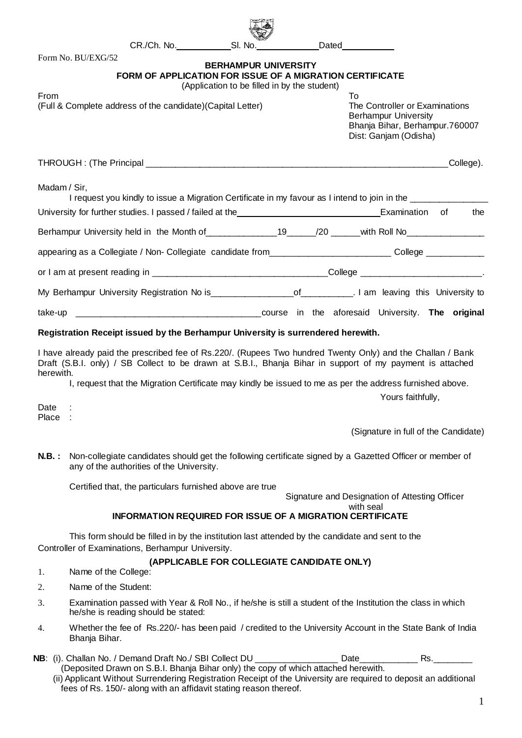|                                                                     |                                                                                                            |                                                                                                                                                                                                                                                                                                             |                                                                             |  |                                                                                                                               | Dated                                                                                                                          |                                      |  |  |           |
|---------------------------------------------------------------------|------------------------------------------------------------------------------------------------------------|-------------------------------------------------------------------------------------------------------------------------------------------------------------------------------------------------------------------------------------------------------------------------------------------------------------|-----------------------------------------------------------------------------|--|-------------------------------------------------------------------------------------------------------------------------------|--------------------------------------------------------------------------------------------------------------------------------|--------------------------------------|--|--|-----------|
|                                                                     | Form No. BU/EXG/52                                                                                         | <b>FORM OF APPLICATION FOR ISSUE OF A MIGRATION CERTIFICATE</b>                                                                                                                                                                                                                                             | <b>BERHAMPUR UNIVERSITY</b><br>(Application to be filled in by the student) |  |                                                                                                                               |                                                                                                                                |                                      |  |  |           |
| From<br>(Full & Complete address of the candidate) (Capital Letter) |                                                                                                            |                                                                                                                                                                                                                                                                                                             |                                                                             |  |                                                                                                                               | To<br>The Controller or Examinations<br><b>Berhampur University</b><br>Bhanja Bihar, Berhampur.760007<br>Dist: Ganjam (Odisha) |                                      |  |  |           |
|                                                                     |                                                                                                            |                                                                                                                                                                                                                                                                                                             |                                                                             |  |                                                                                                                               |                                                                                                                                |                                      |  |  | College). |
| Madam / Sir,                                                        |                                                                                                            | I request you kindly to issue a Migration Certificate in my favour as I intend to join in the _______________                                                                                                                                                                                               |                                                                             |  |                                                                                                                               |                                                                                                                                |                                      |  |  |           |
|                                                                     |                                                                                                            |                                                                                                                                                                                                                                                                                                             |                                                                             |  |                                                                                                                               |                                                                                                                                |                                      |  |  | the       |
|                                                                     |                                                                                                            | Berhampur University held in the Month of _________________19______/20 ______with Roll No________________                                                                                                                                                                                                   |                                                                             |  |                                                                                                                               |                                                                                                                                |                                      |  |  |           |
|                                                                     |                                                                                                            | appearing as a Collegiate / Non- Collegiate candidate from___________________________College ________________                                                                                                                                                                                               |                                                                             |  |                                                                                                                               |                                                                                                                                |                                      |  |  |           |
|                                                                     |                                                                                                            |                                                                                                                                                                                                                                                                                                             |                                                                             |  |                                                                                                                               |                                                                                                                                |                                      |  |  |           |
|                                                                     |                                                                                                            |                                                                                                                                                                                                                                                                                                             |                                                                             |  |                                                                                                                               |                                                                                                                                |                                      |  |  |           |
|                                                                     |                                                                                                            |                                                                                                                                                                                                                                                                                                             |                                                                             |  |                                                                                                                               |                                                                                                                                |                                      |  |  |           |
|                                                                     |                                                                                                            | Registration Receipt issued by the Berhampur University is surrendered herewith.<br>I have already paid the prescribed fee of Rs.220/. (Rupees Two hundred Twenty Only) and the Challan / Bank<br>Draft (S.B.I. only) / SB Collect to be drawn at S.B.I., Bhanja Bihar in support of my payment is attached |                                                                             |  |                                                                                                                               |                                                                                                                                |                                      |  |  |           |
| herewith.                                                           |                                                                                                            |                                                                                                                                                                                                                                                                                                             |                                                                             |  | I, request that the Migration Certificate may kindly be issued to me as per the address furnished above.<br>Yours faithfully, |                                                                                                                                |                                      |  |  |           |
| Date<br>Place                                                       |                                                                                                            |                                                                                                                                                                                                                                                                                                             |                                                                             |  |                                                                                                                               |                                                                                                                                |                                      |  |  |           |
|                                                                     |                                                                                                            |                                                                                                                                                                                                                                                                                                             |                                                                             |  |                                                                                                                               |                                                                                                                                | (Signature in full of the Candidate) |  |  |           |
| N.B.:                                                               |                                                                                                            | Non-collegiate candidates should get the following certificate signed by a Gazetted Officer or member of<br>any of the authorities of the University.                                                                                                                                                       |                                                                             |  |                                                                                                                               |                                                                                                                                |                                      |  |  |           |
|                                                                     | Certified that, the particulars furnished above are true<br>Signature and Designation of Attesting Officer |                                                                                                                                                                                                                                                                                                             |                                                                             |  |                                                                                                                               |                                                                                                                                |                                      |  |  |           |
|                                                                     |                                                                                                            | <b>INFORMATION REQUIRED FOR ISSUE OF A MIGRATION CERTIFICATE</b>                                                                                                                                                                                                                                            |                                                                             |  |                                                                                                                               | with seal                                                                                                                      |                                      |  |  |           |
|                                                                     |                                                                                                            | This form should be filled in by the institution last attended by the candidate and sent to the<br>Controller of Examinations, Berhampur University.                                                                                                                                                        |                                                                             |  |                                                                                                                               |                                                                                                                                |                                      |  |  |           |
| 1.                                                                  | Name of the College:                                                                                       |                                                                                                                                                                                                                                                                                                             | (APPLICABLE FOR COLLEGIATE CANDIDATE ONLY)                                  |  |                                                                                                                               |                                                                                                                                |                                      |  |  |           |
| 2.                                                                  | Name of the Student:                                                                                       |                                                                                                                                                                                                                                                                                                             |                                                                             |  |                                                                                                                               |                                                                                                                                |                                      |  |  |           |
| 3.                                                                  |                                                                                                            | Examination passed with Year & Roll No., if he/she is still a student of the Institution the class in which<br>he/she is reading should be stated:                                                                                                                                                          |                                                                             |  |                                                                                                                               |                                                                                                                                |                                      |  |  |           |
| 4.                                                                  | Bhanja Bihar.                                                                                              | Whether the fee of Rs.220/- has been paid / credited to the University Account in the State Bank of India                                                                                                                                                                                                   |                                                                             |  |                                                                                                                               |                                                                                                                                |                                      |  |  |           |
|                                                                     |                                                                                                            |                                                                                                                                                                                                                                                                                                             |                                                                             |  |                                                                                                                               |                                                                                                                                |                                      |  |  |           |

- **NB**: (i). Challan No. / Demand Draft No./ SBI Collect DU \_\_\_\_\_\_\_\_\_\_\_\_\_\_\_\_\_ Date\_\_\_\_\_\_\_\_\_\_\_\_ Rs.\_\_\_\_\_\_\_\_ (Deposited Drawn on S.B.I. Bhanja Bihar only) the copy of which attached herewith.
	- (ii) Applicant Without Surrendering Registration Receipt of the University are required to deposit an additional fees of Rs. 150/- along with an affidavit stating reason thereof.